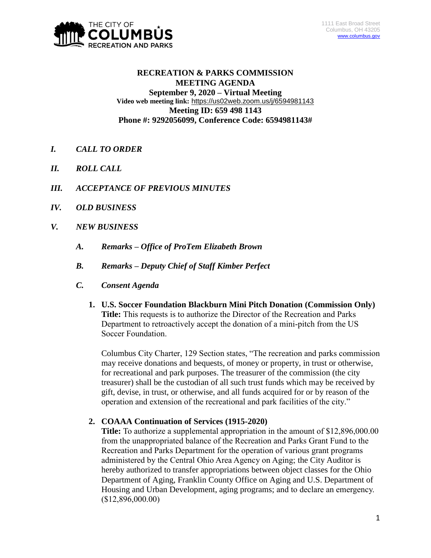

# **RECREATION & PARKS COMMISSION MEETING AGENDA September 9, 2020 – Virtual Meeting Video web meeting link:** <https://us02web.zoom.us/j/6594981143> **Meeting ID: 659 498 1143 Phone #: 9292056099, Conference Code: 6594981143#**

- *I. CALL TO ORDER*
- *II. ROLL CALL*
- *III. ACCEPTANCE OF PREVIOUS MINUTES*
- *IV. OLD BUSINESS*
- *V. NEW BUSINESS*
	- *A. Remarks – Office of ProTem Elizabeth Brown*
	- *B. Remarks – Deputy Chief of Staff Kimber Perfect*
	- *C. Consent Agenda*
		- **1. U.S. Soccer Foundation Blackburn Mini Pitch Donation (Commission Only) Title:** This requests is to authorize the Director of the Recreation and Parks Department to retroactively accept the donation of a mini-pitch from the US Soccer Foundation.

Columbus City Charter, 129 Section states, "The recreation and parks commission may receive donations and bequests, of money or property, in trust or otherwise, for recreational and park purposes. The treasurer of the commission (the city treasurer) shall be the custodian of all such trust funds which may be received by gift, devise, in trust, or otherwise, and all funds acquired for or by reason of the operation and extension of the recreational and park facilities of the city."

# **2. COAAA Continuation of Services (1915-2020)**

**Title:** To authorize a supplemental appropriation in the amount of \$12,896,000.00 from the unappropriated balance of the Recreation and Parks Grant Fund to the Recreation and Parks Department for the operation of various grant programs administered by the Central Ohio Area Agency on Aging; the City Auditor is hereby authorized to transfer appropriations between object classes for the Ohio Department of Aging, Franklin County Office on Aging and U.S. Department of Housing and Urban Development, aging programs; and to declare an emergency. (\$12,896,000.00)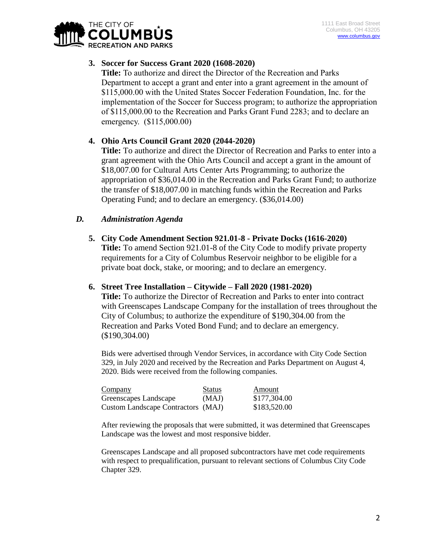

# **3. Soccer for Success Grant 2020 (1608-2020)**

**Title:** To authorize and direct the Director of the Recreation and Parks Department to accept a grant and enter into a grant agreement in the amount of \$115,000.00 with the United States Soccer Federation Foundation, Inc. for the implementation of the Soccer for Success program; to authorize the appropriation of \$115,000.00 to the Recreation and Parks Grant Fund 2283; and to declare an emergency. (\$115,000.00)

# **4. Ohio Arts Council Grant 2020 (2044-2020)**

**Title:** To authorize and direct the Director of Recreation and Parks to enter into a grant agreement with the Ohio Arts Council and accept a grant in the amount of \$18,007.00 for Cultural Arts Center Arts Programming; to authorize the appropriation of \$36,014.00 in the Recreation and Parks Grant Fund; to authorize the transfer of \$18,007.00 in matching funds within the Recreation and Parks Operating Fund; and to declare an emergency. (\$36,014.00)

# *D. Administration Agenda*

**5. City Code Amendment Section 921.01-8 - Private Docks (1616-2020)**

**Title:** To amend Section 921.01-8 of the City Code to modify private property requirements for a City of Columbus Reservoir neighbor to be eligible for a private boat dock, stake, or mooring; and to declare an emergency.

## **6. Street Tree Installation – Citywide – Fall 2020 (1981-2020)**

**Title:** To authorize the Director of Recreation and Parks to enter into contract with Greenscapes Landscape Company for the installation of trees throughout the City of Columbus; to authorize the expenditure of \$190,304.00 from the Recreation and Parks Voted Bond Fund; and to declare an emergency. (\$190,304.00)

Bids were advertised through Vendor Services, in accordance with City Code Section 329, in July 2020 and received by the Recreation and Parks Department on August 4, 2020. Bids were received from the following companies.

| Company                            | <b>Status</b> | Amount       |
|------------------------------------|---------------|--------------|
| Greenscapes Landscape              | (MAJ)         | \$177,304.00 |
| Custom Landscape Contractors (MAJ) |               | \$183,520.00 |

After reviewing the proposals that were submitted, it was determined that Greenscapes Landscape was the lowest and most responsive bidder.

Greenscapes Landscape and all proposed subcontractors have met code requirements with respect to prequalification, pursuant to relevant sections of Columbus City Code Chapter 329.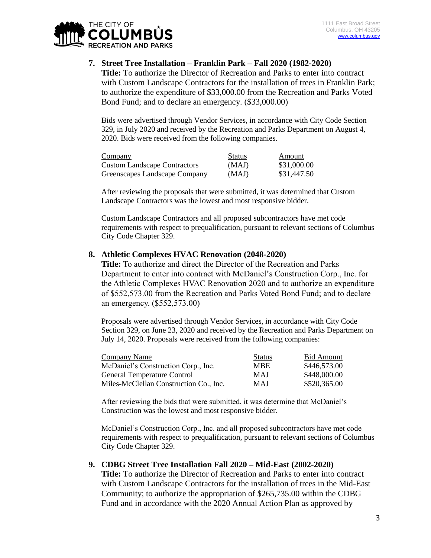

## **7. Street Tree Installation – Franklin Park – Fall 2020 (1982-2020)**

**Title:** To authorize the Director of Recreation and Parks to enter into contract with Custom Landscape Contractors for the installation of trees in Franklin Park; to authorize the expenditure of \$33,000.00 from the Recreation and Parks Voted Bond Fund; and to declare an emergency. (\$33,000.00)

Bids were advertised through Vendor Services, in accordance with City Code Section 329, in July 2020 and received by the Recreation and Parks Department on August 4, 2020. Bids were received from the following companies.

| <b>Company</b>                      | <b>Status</b> | Amount      |
|-------------------------------------|---------------|-------------|
| <b>Custom Landscape Contractors</b> | (MAJ)         | \$31,000.00 |
| Greenscapes Landscape Company       | (MAJ)         | \$31,447.50 |

After reviewing the proposals that were submitted, it was determined that Custom Landscape Contractors was the lowest and most responsive bidder.

Custom Landscape Contractors and all proposed subcontractors have met code requirements with respect to prequalification, pursuant to relevant sections of Columbus City Code Chapter 329.

## **8. Athletic Complexes HVAC Renovation (2048-2020)**

**Title:** To authorize and direct the Director of the Recreation and Parks Department to enter into contract with McDaniel's Construction Corp., Inc. for the Athletic Complexes HVAC Renovation 2020 and to authorize an expenditure of \$552,573.00 from the Recreation and Parks Voted Bond Fund; and to declare an emergency. (\$552,573.00)

Proposals were advertised through Vendor Services, in accordance with City Code Section 329, on June 23, 2020 and received by the Recreation and Parks Department on July 14, 2020. Proposals were received from the following companies:

| Company Name                           | <b>Status</b> | <b>Bid Amount</b> |
|----------------------------------------|---------------|-------------------|
| McDaniel's Construction Corp., Inc.    | <b>MBE</b>    | \$446,573.00      |
| <b>General Temperature Control</b>     | <b>MAJ</b>    | \$448,000.00      |
| Miles-McClellan Construction Co., Inc. | <b>MAJ</b>    | \$520,365.00      |

After reviewing the bids that were submitted, it was determine that McDaniel's Construction was the lowest and most responsive bidder.

McDaniel's Construction Corp., Inc. and all proposed subcontractors have met code requirements with respect to prequalification, pursuant to relevant sections of Columbus City Code Chapter 329.

## **9. CDBG Street Tree Installation Fall 2020 – Mid-East (2002-2020)**

**Title:** To authorize the Director of Recreation and Parks to enter into contract with Custom Landscape Contractors for the installation of trees in the Mid-East Community; to authorize the appropriation of \$265,735.00 within the CDBG Fund and in accordance with the 2020 Annual Action Plan as approved by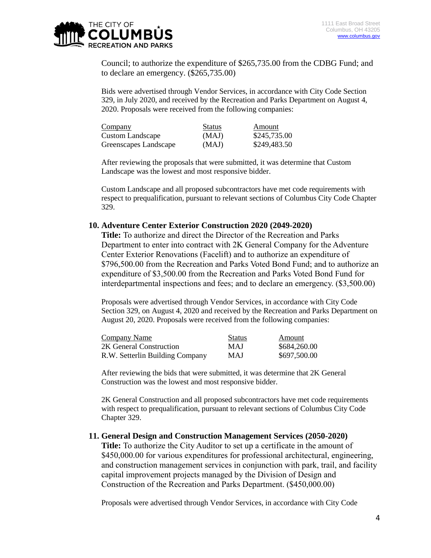

Council; to authorize the expenditure of \$265,735.00 from the CDBG Fund; and to declare an emergency. (\$265,735.00)

Bids were advertised through Vendor Services, in accordance with City Code Section 329, in July 2020, and received by the Recreation and Parks Department on August 4, 2020. Proposals were received from the following companies:

| Company               | <b>Status</b> | Amount       |
|-----------------------|---------------|--------------|
| Custom Landscape      | (MAJ)         | \$245,735.00 |
| Greenscapes Landscape | (MAJ)         | \$249,483.50 |

After reviewing the proposals that were submitted, it was determine that Custom Landscape was the lowest and most responsive bidder.

Custom Landscape and all proposed subcontractors have met code requirements with respect to prequalification, pursuant to relevant sections of Columbus City Code Chapter 329.

### **10. Adventure Center Exterior Construction 2020 (2049-2020)**

**Title:** To authorize and direct the Director of the Recreation and Parks Department to enter into contract with 2K General Company for the Adventure Center Exterior Renovations (Facelift) and to authorize an expenditure of \$796,500.00 from the Recreation and Parks Voted Bond Fund; and to authorize an expenditure of \$3,500.00 from the Recreation and Parks Voted Bond Fund for interdepartmental inspections and fees; and to declare an emergency. (\$3,500.00)

Proposals were advertised through Vendor Services, in accordance with City Code Section 329, on August 4, 2020 and received by the Recreation and Parks Department on August 20, 2020. Proposals were received from the following companies:

| Company Name                    | <b>Status</b> | Amount       |
|---------------------------------|---------------|--------------|
| 2K General Construction         | MAJ           | \$684,260.00 |
| R.W. Setterlin Building Company | <b>MAJ</b>    | \$697,500.00 |

After reviewing the bids that were submitted, it was determine that 2K General Construction was the lowest and most responsive bidder.

2K General Construction and all proposed subcontractors have met code requirements with respect to prequalification, pursuant to relevant sections of Columbus City Code Chapter 329.

#### **11. General Design and Construction Management Services (2050-2020)**

**Title:** To authorize the City Auditor to set up a certificate in the amount of \$450,000.00 for various expenditures for professional architectural, engineering, and construction management services in conjunction with park, trail, and facility capital improvement projects managed by the Division of Design and Construction of the Recreation and Parks Department. (\$450,000.00)

Proposals were advertised through Vendor Services, in accordance with City Code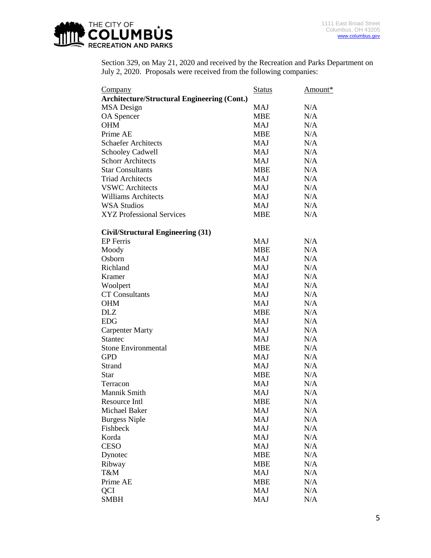

Section 329, on May 21, 2020 and received by the Recreation and Parks Department on July 2, 2020. Proposals were received from the following companies:

| <b>Company</b>                                     | <b>Status</b> | Amount* |
|----------------------------------------------------|---------------|---------|
| <b>Architecture/Structural Engineering (Cont.)</b> |               |         |
| MSA Design                                         | MAJ           | N/A     |
| OA Spencer                                         | <b>MBE</b>    | N/A     |
| <b>OHM</b>                                         | MAJ           | N/A     |
| Prime AE                                           | <b>MBE</b>    | N/A     |
| <b>Schaefer Architects</b>                         | MAJ           | N/A     |
| <b>Schooley Cadwell</b>                            | MAJ           | N/A     |
| <b>Schorr Architects</b>                           | MAJ           | N/A     |
| <b>Star Consultants</b>                            | MBE           | N/A     |
| <b>Triad Architects</b>                            | MAJ           | N/A     |
| <b>VSWC</b> Architects                             | MAJ           | N/A     |
| <b>Williams Architects</b>                         | MAJ           | N/A     |
| <b>WSA Studios</b>                                 | MAJ           | N/A     |
| <b>XYZ Professional Services</b>                   | <b>MBE</b>    | N/A     |
|                                                    |               |         |
| Civil/Structural Engineering (31)                  |               |         |
| EP Ferris                                          | MAJ           | N/A     |
| Moody                                              | <b>MBE</b>    | N/A     |
| Osborn                                             | MAJ           | N/A     |
| Richland                                           | MAJ           | N/A     |
| Kramer                                             | <b>MAJ</b>    | N/A     |
| Woolpert                                           | MAJ           | N/A     |
| <b>CT</b> Consultants                              | MAJ           | N/A     |
| <b>OHM</b>                                         | <b>MAJ</b>    | N/A     |
| <b>DLZ</b>                                         | MBE           | N/A     |
| <b>EDG</b>                                         | MAJ           | N/A     |
| <b>Carpenter Marty</b>                             | MAJ           | N/A     |
| <b>Stantec</b>                                     | MAJ           | N/A     |
| <b>Stone Environmental</b>                         | <b>MBE</b>    | N/A     |
| GPD                                                | MAJ           | N/A     |
| Strand                                             | MAJ           | N/A     |
| <b>Star</b>                                        | <b>MBE</b>    | N/A     |
| Terracon                                           | <b>MAJ</b>    | N/A     |
| Mannik Smith                                       | <b>MAJ</b>    | N/A     |
| Resource Intl                                      | <b>MBE</b>    | N/A     |
| Michael Baker                                      | <b>MAJ</b>    | N/A     |
| <b>Burgess Niple</b>                               | <b>MAJ</b>    | N/A     |
| Fishbeck                                           | <b>MAJ</b>    | N/A     |
| Korda                                              | <b>MAJ</b>    | N/A     |
| <b>CESO</b>                                        | <b>MAJ</b>    | N/A     |
| Dynotec                                            | <b>MBE</b>    | N/A     |
| Ribway                                             | <b>MBE</b>    | N/A     |
| T&M                                                | <b>MAJ</b>    | N/A     |
| Prime AE                                           | <b>MBE</b>    | N/A     |
| QCI                                                | <b>MAJ</b>    | N/A     |
| <b>SMBH</b>                                        | <b>MAJ</b>    | N/A     |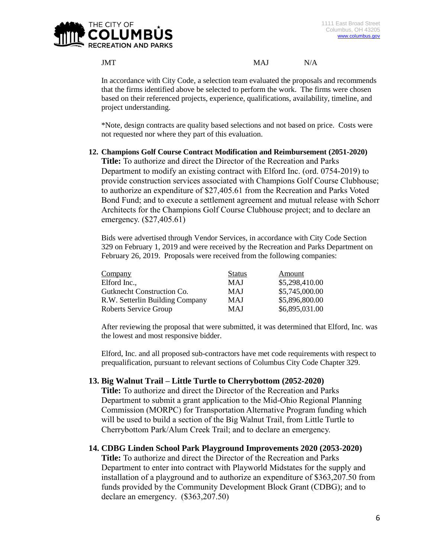

## JMT N/A

In accordance with City Code, a selection team evaluated the proposals and recommends that the firms identified above be selected to perform the work. The firms were chosen based on their referenced projects, experience, qualifications, availability, timeline, and project understanding.

\*Note, design contracts are quality based selections and not based on price. Costs were not requested nor where they part of this evaluation.

## **12. Champions Golf Course Contract Modification and Reimbursement (2051-2020)**

**Title:** To authorize and direct the Director of the Recreation and Parks Department to modify an existing contract with Elford Inc. (ord. 0754-2019) to provide construction services associated with Champions Golf Course Clubhouse; to authorize an expenditure of \$27,405.61 from the Recreation and Parks Voted Bond Fund; and to execute a settlement agreement and mutual release with Schorr Architects for the Champions Golf Course Clubhouse project; and to declare an emergency. (\$27,405.61)

Bids were advertised through Vendor Services, in accordance with City Code Section 329 on February 1, 2019 and were received by the Recreation and Parks Department on February 26, 2019. Proposals were received from the following companies:

| Company                         | <b>Status</b> | Amount         |
|---------------------------------|---------------|----------------|
| Elford Inc.,                    | MAJ           | \$5,298,410.00 |
| Gutknecht Construction Co.      | MAJ           | \$5,745,000.00 |
| R.W. Setterlin Building Company | MAJ           | \$5,896,800.00 |
| Roberts Service Group           | MAJ           | \$6,895,031.00 |

After reviewing the proposal that were submitted, it was determined that Elford, Inc. was the lowest and most responsive bidder.

Elford, Inc. and all proposed sub-contractors have met code requirements with respect to prequalification, pursuant to relevant sections of Columbus City Code Chapter 329.

## **13. Big Walnut Trail – Little Turtle to Cherrybottom (2052-2020)**

**Title:** To authorize and direct the Director of the Recreation and Parks Department to submit a grant application to the Mid-Ohio Regional Planning Commission (MORPC) for Transportation Alternative Program funding which will be used to build a section of the Big Walnut Trail, from Little Turtle to Cherrybottom Park/Alum Creek Trail; and to declare an emergency.

## **14. CDBG Linden School Park Playground Improvements 2020 (2053-2020)**

**Title:** To authorize and direct the Director of the Recreation and Parks Department to enter into contract with Playworld Midstates for the supply and installation of a playground and to authorize an expenditure of \$363,207.50 from funds provided by the Community Development Block Grant (CDBG); and to declare an emergency. (\$363,207.50)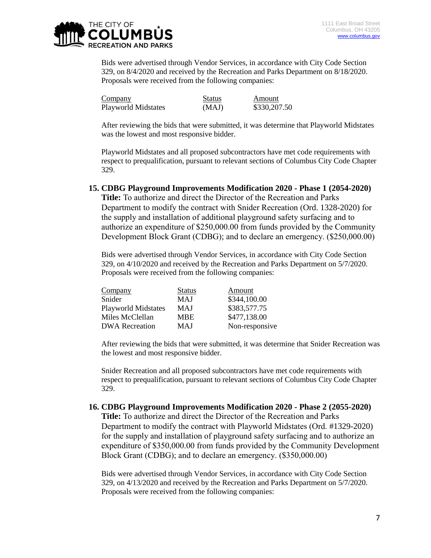

Bids were advertised through Vendor Services, in accordance with City Code Section 329, on 8/4/2020 and received by the Recreation and Parks Department on 8/18/2020. Proposals were received from the following companies:

| Company                    | Status | Amount       |
|----------------------------|--------|--------------|
| <b>Playworld Midstates</b> | (MAJ)  | \$330,207.50 |

After reviewing the bids that were submitted, it was determine that Playworld Midstates was the lowest and most responsive bidder.

Playworld Midstates and all proposed subcontractors have met code requirements with respect to prequalification, pursuant to relevant sections of Columbus City Code Chapter 329.

### **15. CDBG Playground Improvements Modification 2020 - Phase 1 (2054-2020)**

**Title:** To authorize and direct the Director of the Recreation and Parks Department to modify the contract with Snider Recreation (Ord. 1328-2020) for the supply and installation of additional playground safety surfacing and to authorize an expenditure of \$250,000.00 from funds provided by the Community Development Block Grant (CDBG); and to declare an emergency. (\$250,000.00)

Bids were advertised through Vendor Services, in accordance with City Code Section 329, on 4/10/2020 and received by the Recreation and Parks Department on 5/7/2020. Proposals were received from the following companies:

| Company                    | <b>Status</b> | Amount         |
|----------------------------|---------------|----------------|
| Snider                     | <b>MAJ</b>    | \$344,100.00   |
| <b>Playworld Midstates</b> | MAJ           | \$383,577.75   |
| Miles McClellan            | <b>MBE</b>    | \$477,138.00   |
| <b>DWA Recreation</b>      | <b>MAJ</b>    | Non-responsive |

After reviewing the bids that were submitted, it was determine that Snider Recreation was the lowest and most responsive bidder.

Snider Recreation and all proposed subcontractors have met code requirements with respect to prequalification, pursuant to relevant sections of Columbus City Code Chapter 329.

#### **16. CDBG Playground Improvements Modification 2020 - Phase 2 (2055-2020)**

**Title:** To authorize and direct the Director of the Recreation and Parks Department to modify the contract with Playworld Midstates (Ord. #1329-2020) for the supply and installation of playground safety surfacing and to authorize an expenditure of \$350,000.00 from funds provided by the Community Development Block Grant (CDBG); and to declare an emergency. (\$350,000.00)

Bids were advertised through Vendor Services, in accordance with City Code Section 329, on 4/13/2020 and received by the Recreation and Parks Department on 5/7/2020. Proposals were received from the following companies: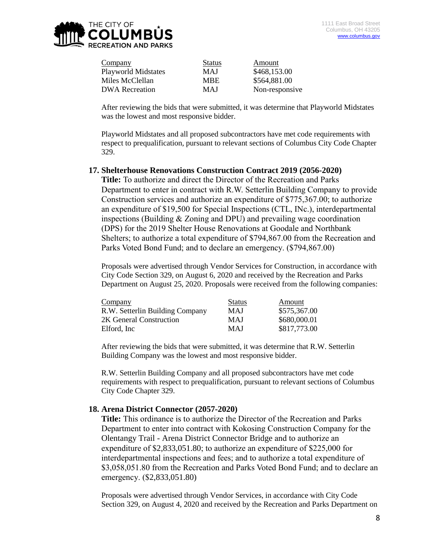

| Company                    | <b>Status</b> | Amount         |
|----------------------------|---------------|----------------|
| <b>Playworld Midstates</b> | MAJ           | \$468,153.00   |
| Miles McClellan            | MBE.          | \$564,881.00   |
| <b>DWA</b> Recreation      | <b>MAJ</b>    | Non-responsive |

After reviewing the bids that were submitted, it was determine that Playworld Midstates was the lowest and most responsive bidder.

Playworld Midstates and all proposed subcontractors have met code requirements with respect to prequalification, pursuant to relevant sections of Columbus City Code Chapter 329.

## **17. Shelterhouse Renovations Construction Contract 2019 (2056-2020)**

**Title:** To authorize and direct the Director of the Recreation and Parks Department to enter in contract with R.W. Setterlin Building Company to provide Construction services and authorize an expenditure of \$775,367.00; to authorize an expenditure of \$19,500 for Special Inspections (CTL, INc.), interdepartmental inspections (Building & Zoning and DPU) and prevailing wage coordination (DPS) for the 2019 Shelter House Renovations at Goodale and Northbank Shelters; to authorize a total expenditure of \$794,867.00 from the Recreation and Parks Voted Bond Fund; and to declare an emergency. (\$794,867.00)

Proposals were advertised through Vendor Services for Construction, in accordance with City Code Section 329, on August 6, 2020 and received by the Recreation and Parks Department on August 25, 2020. Proposals were received from the following companies:

| Company                         | <b>Status</b> | Amount       |
|---------------------------------|---------------|--------------|
| R.W. Setterlin Building Company | <b>MAJ</b>    | \$575,367.00 |
| 2K General Construction         | <b>MAJ</b>    | \$680,000.01 |
| Elford. Inc                     | <b>MAJ</b>    | \$817,773.00 |

After reviewing the bids that were submitted, it was determine that R.W. Setterlin Building Company was the lowest and most responsive bidder.

R.W. Setterlin Building Company and all proposed subcontractors have met code requirements with respect to prequalification, pursuant to relevant sections of Columbus City Code Chapter 329.

## **18. Arena District Connector (2057-2020)**

**Title:** This ordinance is to authorize the Director of the Recreation and Parks Department to enter into contract with Kokosing Construction Company for the Olentangy Trail - Arena District Connector Bridge and to authorize an expenditure of \$2,833,051.80; to authorize an expenditure of \$225,000 for interdepartmental inspections and fees; and to authorize a total expenditure of \$3,058,051.80 from the Recreation and Parks Voted Bond Fund; and to declare an emergency. (\$2,833,051.80)

Proposals were advertised through Vendor Services, in accordance with City Code Section 329, on August 4, 2020 and received by the Recreation and Parks Department on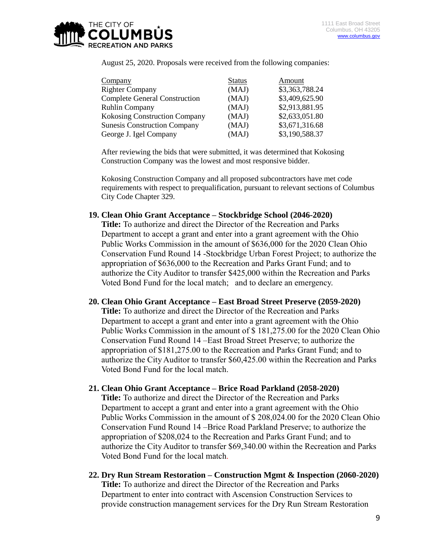

August 25, 2020. Proposals were received from the following companies:

| Company                              | <b>Status</b> | Amount         |
|--------------------------------------|---------------|----------------|
| <b>Righter Company</b>               | (MAJ)         | \$3,363,788.24 |
| <b>Complete General Construction</b> | (MAJ)         | \$3,409,625.90 |
| <b>Ruhlin Company</b>                | (MAJ)         | \$2,913,881.95 |
| Kokosing Construction Company        | (MAJ)         | \$2,633,051.80 |
| <b>Sunesis Construction Company</b>  | (MAJ)         | \$3,671,316.68 |
| George J. Igel Company               | (MAJ)         | \$3,190,588.37 |

After reviewing the bids that were submitted, it was determined that Kokosing Construction Company was the lowest and most responsive bidder.

Kokosing Construction Company and all proposed subcontractors have met code requirements with respect to prequalification, pursuant to relevant sections of Columbus City Code Chapter 329.

## **19. Clean Ohio Grant Acceptance – Stockbridge School (2046-2020)**

**Title:** To authorize and direct the Director of the Recreation and Parks Department to accept a grant and enter into a grant agreement with the Ohio Public Works Commission in the amount of \$636,000 for the 2020 Clean Ohio Conservation Fund Round 14 -Stockbridge Urban Forest Project; to authorize the appropriation of \$636,000 to the Recreation and Parks Grant Fund; and to authorize the City Auditor to transfer \$425,000 within the Recreation and Parks Voted Bond Fund for the local match; and to declare an emergency.

## **20. Clean Ohio Grant Acceptance – East Broad Street Preserve (2059-2020)**

**Title:** To authorize and direct the Director of the Recreation and Parks Department to accept a grant and enter into a grant agreement with the Ohio Public Works Commission in the amount of \$ 181,275.00 for the 2020 Clean Ohio Conservation Fund Round 14 –East Broad Street Preserve; to authorize the appropriation of \$181,275.00 to the Recreation and Parks Grant Fund; and to authorize the City Auditor to transfer \$60,425.00 within the Recreation and Parks Voted Bond Fund for the local match.

## **21. Clean Ohio Grant Acceptance – Brice Road Parkland (2058-2020)**

**Title:** To authorize and direct the Director of the Recreation and Parks Department to accept a grant and enter into a grant agreement with the Ohio Public Works Commission in the amount of \$ 208,024.00 for the 2020 Clean Ohio Conservation Fund Round 14 –Brice Road Parkland Preserve; to authorize the appropriation of \$208,024 to the Recreation and Parks Grant Fund; and to authorize the City Auditor to transfer \$69,340.00 within the Recreation and Parks Voted Bond Fund for the local match.

**22. Dry Run Stream Restoration – Construction Mgmt & Inspection (2060-2020) Title:** To authorize and direct the Director of the Recreation and Parks Department to enter into contract with Ascension Construction Services to provide construction management services for the Dry Run Stream Restoration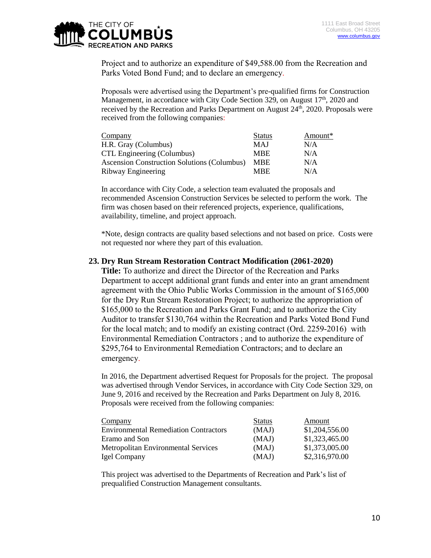

Project and to authorize an expenditure of \$49,588.00 from the Recreation and Parks Voted Bond Fund; and to declare an emergency.

Proposals were advertised using the Department's pre-qualified firms for Construction Management, in accordance with City Code Section 329, on August  $17<sup>th</sup>$ , 2020 and received by the Recreation and Parks Department on August 24<sup>th</sup>, 2020. Proposals were received from the following companies:

| Company                                     | <b>Status</b> | Amount* |
|---------------------------------------------|---------------|---------|
| H.R. Gray (Columbus)                        | <b>MAJ</b>    | N/A     |
| CTL Engineering (Columbus)                  | <b>MBE</b>    | N/A     |
| Ascension Construction Solutions (Columbus) | <b>MBE</b>    | N/A     |
| Ribway Engineering                          | <b>MBE</b>    | N/A     |

In accordance with City Code, a selection team evaluated the proposals and recommended Ascension Construction Services be selected to perform the work. The firm was chosen based on their referenced projects, experience, qualifications, availability, timeline, and project approach.

\*Note, design contracts are quality based selections and not based on price. Costs were not requested nor where they part of this evaluation.

## **23. Dry Run Stream Restoration Contract Modification (2061-2020)**

**Title:** To authorize and direct the Director of the Recreation and Parks Department to accept additional grant funds and enter into an grant amendment agreement with the Ohio Public Works Commission in the amount of \$165,000 for the Dry Run Stream Restoration Project; to authorize the appropriation of \$165,000 to the Recreation and Parks Grant Fund; and to authorize the City Auditor to transfer \$130,764 within the Recreation and Parks Voted Bond Fund for the local match; and to modify an existing contract (Ord. 2259-2016) with Environmental Remediation Contractors ; and to authorize the expenditure of \$295,764 to Environmental Remediation Contractors; and to declare an emergency.

In 2016, the Department advertised Request for Proposals for the project. The proposal was advertised through Vendor Services, in accordance with City Code Section 329, on June 9, 2016 and received by the Recreation and Parks Department on July 8, 2016. Proposals were received from the following companies:

| Company                                      | <b>Status</b> | Amount         |
|----------------------------------------------|---------------|----------------|
| <b>Environmental Remediation Contractors</b> | (MAJ)         | \$1,204,556.00 |
| Eramo and Son                                | (MAJ)         | \$1,323,465.00 |
| <b>Metropolitan Environmental Services</b>   | (MAJ)         | \$1,373,005.00 |
| Igel Company                                 | (MAJ)         | \$2,316,970.00 |

This project was advertised to the Departments of Recreation and Park's list of prequalified Construction Management consultants.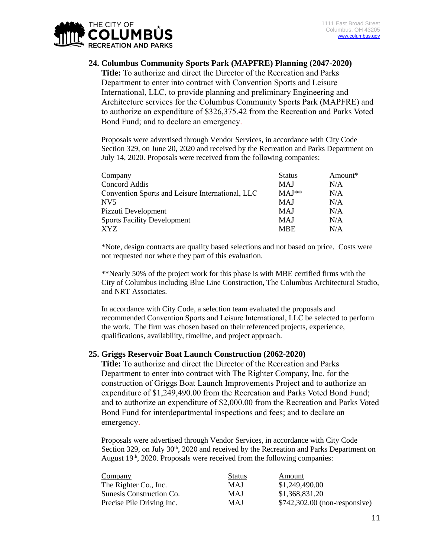

## **24. Columbus Community Sports Park (MAPFRE) Planning (2047-2020)**

**Title:** To authorize and direct the Director of the Recreation and Parks Department to enter into contract with Convention Sports and Leisure International, LLC, to provide planning and preliminary Engineering and Architecture services for the Columbus Community Sports Park (MAPFRE) and to authorize an expenditure of \$326,375.42 from the Recreation and Parks Voted Bond Fund; and to declare an emergency.

Proposals were advertised through Vendor Services, in accordance with City Code Section 329, on June 20, 2020 and received by the Recreation and Parks Department on July 14, 2020. Proposals were received from the following companies:

| Company                                          | <b>Status</b> | Amount* |
|--------------------------------------------------|---------------|---------|
| Concord Addis                                    | <b>MAJ</b>    | N/A     |
| Convention Sports and Leisure International, LLC | $MAJ**$       | N/A     |
| NV <sub>5</sub>                                  | <b>MAJ</b>    | N/A     |
| Pizzuti Development                              | <b>MAJ</b>    | N/A     |
| <b>Sports Facility Development</b>               | <b>MAJ</b>    | N/A     |
| XYZ                                              | <b>MBE</b>    | N/A     |

\*Note, design contracts are quality based selections and not based on price. Costs were not requested nor where they part of this evaluation.

\*\*Nearly 50% of the project work for this phase is with MBE certified firms with the City of Columbus including Blue Line Construction, The Columbus Architectural Studio, and NRT Associates.

In accordance with City Code, a selection team evaluated the proposals and recommended Convention Sports and Leisure International, LLC be selected to perform the work. The firm was chosen based on their referenced projects, experience, qualifications, availability, timeline, and project approach.

## **25. Griggs Reservoir Boat Launch Construction (2062-2020)**

**Title:** To authorize and direct the Director of the Recreation and Parks Department to enter into contract with The Righter Company, Inc. for the construction of Griggs Boat Launch Improvements Project and to authorize an expenditure of \$1,249,490.00 from the Recreation and Parks Voted Bond Fund; and to authorize an expenditure of \$2,000.00 from the Recreation and Parks Voted Bond Fund for interdepartmental inspections and fees; and to declare an emergency.

Proposals were advertised through Vendor Services, in accordance with City Code Section 329, on July 30<sup>th</sup>, 2020 and received by the Recreation and Parks Department on August  $19<sup>th</sup>$ , 2020. Proposals were received from the following companies:

| Company                   | <b>Status</b> | Amount                         |
|---------------------------|---------------|--------------------------------|
| The Righter Co., Inc.     | MAJ           | \$1,249,490.00                 |
| Sunesis Construction Co.  | <b>MAJ</b>    | \$1,368,831.20                 |
| Precise Pile Driving Inc. | MAJ           | $$742,302.00$ (non-responsive) |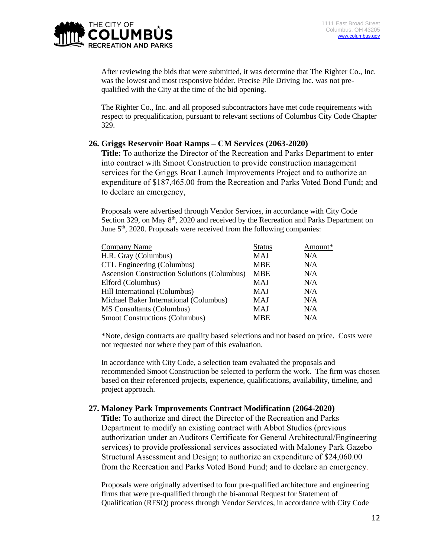

After reviewing the bids that were submitted, it was determine that The Righter Co., Inc. was the lowest and most responsive bidder. Precise Pile Driving Inc. was not prequalified with the City at the time of the bid opening.

The Righter Co., Inc. and all proposed subcontractors have met code requirements with respect to prequalification, pursuant to relevant sections of Columbus City Code Chapter 329.

## **26. Griggs Reservoir Boat Ramps – CM Services (2063-2020)**

**Title:** To authorize the Director of the Recreation and Parks Department to enter into contract with Smoot Construction to provide construction management services for the Griggs Boat Launch Improvements Project and to authorize an expenditure of \$187,465.00 from the Recreation and Parks Voted Bond Fund; and to declare an emergency,

Proposals were advertised through Vendor Services, in accordance with City Code Section 329, on May 8<sup>th</sup>, 2020 and received by the Recreation and Parks Department on June 5<sup>th</sup>, 2020. Proposals were received from the following companies:

| Company Name                                       | <b>Status</b> | Amount* |
|----------------------------------------------------|---------------|---------|
| H.R. Gray (Columbus)                               | MAJ           | N/A     |
| CTL Engineering (Columbus)                         | <b>MBE</b>    | N/A     |
| <b>Ascension Construction Solutions (Columbus)</b> | <b>MBE</b>    | N/A     |
| Elford (Columbus)                                  | MAJ           | N/A     |
| Hill International (Columbus)                      | <b>MAJ</b>    | N/A     |
| Michael Baker International (Columbus)             | MAJ           | N/A     |
| <b>MS</b> Consultants (Columbus)                   | <b>MAJ</b>    | N/A     |
| <b>Smoot Constructions (Columbus)</b>              | <b>MBE</b>    | N/A     |

\*Note, design contracts are quality based selections and not based on price. Costs were not requested nor where they part of this evaluation.

In accordance with City Code, a selection team evaluated the proposals and recommended Smoot Construction be selected to perform the work. The firm was chosen based on their referenced projects, experience, qualifications, availability, timeline, and project approach.

## **27. Maloney Park Improvements Contract Modification (2064-2020)**

**Title:** To authorize and direct the Director of the Recreation and Parks Department to modify an existing contract with Abbot Studios (previous authorization under an Auditors Certificate for General Architectural/Engineering services) to provide professional services associated with Maloney Park Gazebo Structural Assessment and Design; to authorize an expenditure of \$24,060.00 from the Recreation and Parks Voted Bond Fund; and to declare an emergency.

Proposals were originally advertised to four pre-qualified architecture and engineering firms that were pre-qualified through the bi-annual Request for Statement of Qualification (RFSQ) process through Vendor Services, in accordance with City Code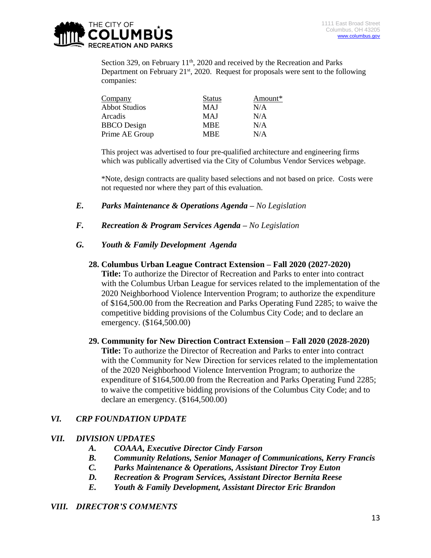

Section 329, on February 11<sup>th</sup>, 2020 and received by the Recreation and Parks Department on February  $21^{st}$ , 2020. Request for proposals were sent to the following companies:

| Company              | <b>Status</b> | Amount* |
|----------------------|---------------|---------|
| <b>Abbot Studios</b> | MAJ           | N/A     |
| Arcadis              | <b>MAJ</b>    | N/A     |
| <b>BBCO</b> Design   | <b>MBE</b>    | N/A     |
| Prime AE Group       | <b>MBE</b>    | N/A     |

This project was advertised to four pre-qualified architecture and engineering firms which was publically advertised via the City of Columbus Vendor Services webpage.

\*Note, design contracts are quality based selections and not based on price. Costs were not requested nor where they part of this evaluation.

- *E. Parks Maintenance & Operations Agenda – No Legislation*
- *F. Recreation & Program Services Agenda – No Legislation*

# *G. Youth & Family Development Agenda*

**28. Columbus Urban League Contract Extension – Fall 2020 (2027-2020)**

**Title:** To authorize the Director of Recreation and Parks to enter into contract with the Columbus Urban League for services related to the implementation of the 2020 Neighborhood Violence Intervention Program; to authorize the expenditure of \$164,500.00 from the Recreation and Parks Operating Fund 2285; to waive the competitive bidding provisions of the Columbus City Code; and to declare an emergency. (\$164,500.00)

**29. Community for New Direction Contract Extension – Fall 2020 (2028-2020) Title:** To authorize the Director of Recreation and Parks to enter into contract with the Community for New Direction for services related to the implementation of the 2020 Neighborhood Violence Intervention Program; to authorize the expenditure of \$164,500.00 from the Recreation and Parks Operating Fund 2285; to waive the competitive bidding provisions of the Columbus City Code; and to declare an emergency. (\$164,500.00)

# *VI. CRP FOUNDATION UPDATE*

## *VII. DIVISION UPDATES*

- *A. COAAA, Executive Director Cindy Farson*
- *B. Community Relations, Senior Manager of Communications, Kerry Francis*
- *C. Parks Maintenance & Operations, Assistant Director Troy Euton*
- *D. Recreation & Program Services, Assistant Director Bernita Reese*
- *E. Youth & Family Development, Assistant Director Eric Brandon*

## *VIII. DIRECTOR'S COMMENTS*